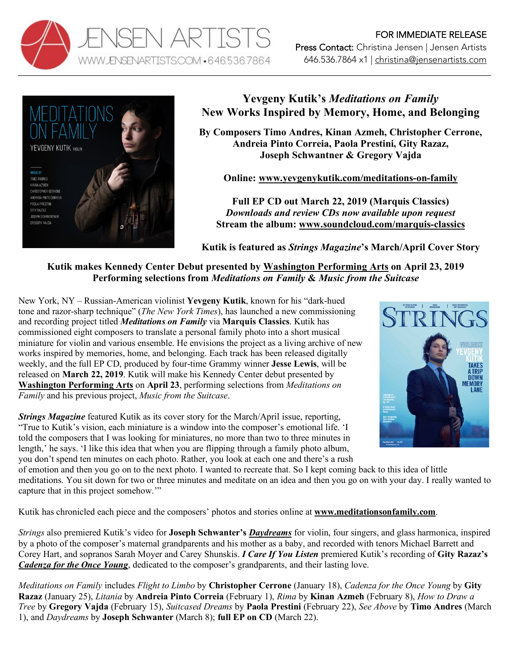



## **Yevgeny Kutik's** *Meditations on Family* **New Works Inspired by Memory, Home, and Belonging**

**By Composers Timo Andres, Kinan Azmeh, Christopher Cerrone, Andreia Pinto Correia, Paola Prestini, Gity Razaz, Joseph Schwantner & Gregory Vajda**

**Online: www.yevgenykutik.com/meditations-on-family**

**Full EP CD out March 22, 2019 (Marquis Classics)** *Downloads and review CDs now available upon request* **Stream the album: www.soundcloud.com/marquis-classics**

**Kutik is featured as** *Strings Magazine***'s March/April Cover Story**

## **Kutik makes Kennedy Center Debut presented by Washington Performing Arts on April 23, 2019 Performing selections from** *Meditations on Family* **&** *Music from the Suitcase*

New York, NY – Russian-American violinist **Yevgeny Kutik**, known for his "dark-hued tone and razor-sharp technique" (*The New York Times*), has launched a new commissioning and recording project titled *Meditations on Family* via **Marquis Classics**. Kutik has commissioned eight composers to translate a personal family photo into a short musical miniature for violin and various ensemble. He envisions the project as a living archive of new works inspired by memories, home, and belonging. Each track has been released digitally weekly, and the full EP CD, produced by four-time Grammy winner **Jesse Lewis**, will be released on **March 22, 2019**. Kutik will make his Kennedy Center debut presented by **Washington Performing Arts** on **April 23**, performing selections from *Meditations on Family* and his previous project, *Music from the Suitcase*.

*Strings Magazine* featured Kutik as its cover story for the March/April issue, reporting, "True to Kutik's vision, each miniature is a window into the composer's emotional life. 'I told the composers that I was looking for miniatures, no more than two to three minutes in length,' he says. 'I like this idea that when you are flipping through a family photo album, you don't spend ten minutes on each photo. Rather, you look at each one and there's a rush



of emotion and then you go on to the next photo. I wanted to recreate that. So I kept coming back to this idea of little meditations. You sit down for two or three minutes and meditate on an idea and then you go on with your day. I really wanted to capture that in this project somehow.'"

Kutik has chronicled each piece and the composers' photos and stories online at **www.meditationsonfamily.com**.

*Strings* also premiered Kutik's video for **Joseph Schwanter's** *Daydreams* for violin, four singers, and glass harmonica, inspired by a photo of the composer's maternal grandparents and his mother as a baby, and recorded with tenors Michael Barrett and Corey Hart, and sopranos Sarah Moyer and Carey Shunskis. *I Care If You Listen* premiered Kutik's recording of **Gity Razaz's** *Cadenza for the Once Young*, dedicated to the composer's grandparents, and their lasting love.

*Meditations on Family* includes *Flight to Limbo* by **Christopher Cerrone** (January 18), *Cadenza for the Once Young* by **Gity Razaz** (January 25), *Litania* by **Andreia Pinto Correia** (February 1), *Rima* by **Kinan Azmeh** (February 8), *How to Draw a Tree* by **Gregory Vajda** (February 15), *Suitcased Dreams* by **Paola Prestini** (February 22), *See Above* by **Timo Andres** (March 1), and *Daydreams* by **Joseph Schwanter** (March 8); **full EP on CD** (March 22).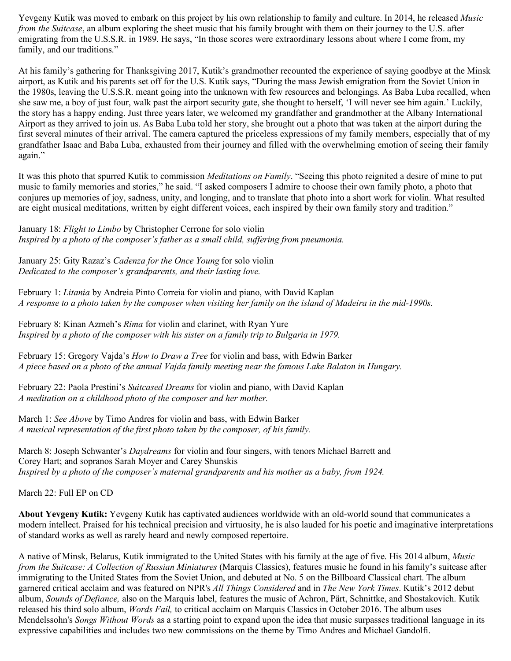Yevgeny Kutik was moved to embark on this project by his own relationship to family and culture. In 2014, he released *Music from the Suitcase*, an album exploring the sheet music that his family brought with them on their journey to the U.S. after emigrating from the U.S.S.R. in 1989. He says, "In those scores were extraordinary lessons about where I come from, my family, and our traditions."

At his family's gathering for Thanksgiving 2017, Kutik's grandmother recounted the experience of saying goodbye at the Minsk airport, as Kutik and his parents set off for the U.S. Kutik says, "During the mass Jewish emigration from the Soviet Union in the 1980s, leaving the U.S.S.R. meant going into the unknown with few resources and belongings. As Baba Luba recalled, when she saw me, a boy of just four, walk past the airport security gate, she thought to herself, 'I will never see him again.' Luckily, the story has a happy ending. Just three years later, we welcomed my grandfather and grandmother at the Albany International Airport as they arrived to join us. As Baba Luba told her story, she brought out a photo that was taken at the airport during the first several minutes of their arrival. The camera captured the priceless expressions of my family members, especially that of my grandfather Isaac and Baba Luba, exhausted from their journey and filled with the overwhelming emotion of seeing their family again."

It was this photo that spurred Kutik to commission *Meditations on Family*. "Seeing this photo reignited a desire of mine to put music to family memories and stories," he said. "I asked composers I admire to choose their own family photo, a photo that conjures up memories of joy, sadness, unity, and longing, and to translate that photo into a short work for violin. What resulted are eight musical meditations, written by eight different voices, each inspired by their own family story and tradition."

January 18: *Flight to Limbo* by Christopher Cerrone for solo violin *Inspired by a photo of the composer's father as a small child, suffering from pneumonia.*

January 25: Gity Razaz's *Cadenza for the Once Young* for solo violin *Dedicated to the composer's grandparents, and their lasting love.*

February 1: *Litania* by Andreia Pinto Correia for violin and piano, with David Kaplan *A response to a photo taken by the composer when visiting her family on the island of Madeira in the mid-1990s.*

February 8: Kinan Azmeh's *Rima* for violin and clarinet, with Ryan Yure *Inspired by a photo of the composer with his sister on a family trip to Bulgaria in 1979.*

February 15: Gregory Vajda's *How to Draw a Tree* for violin and bass, with Edwin Barker *A piece based on a photo of the annual Vajda family meeting near the famous Lake Balaton in Hungary.*

February 22: Paola Prestini's *Suitcased Dreams* for violin and piano, with David Kaplan *A meditation on a childhood photo of the composer and her mother.*

March 1: *See Above* by Timo Andres for violin and bass, with Edwin Barker *A musical representation of the first photo taken by the composer, of his family.*

March 8: Joseph Schwanter's *Daydreams* for violin and four singers, with tenors Michael Barrett and Corey Hart; and sopranos Sarah Moyer and Carey Shunskis *Inspired by a photo of the composer's maternal grandparents and his mother as a baby, from 1924.*

March 22: Full EP on CD

**About Yevgeny Kutik:** Yevgeny Kutik has captivated audiences worldwide with an old-world sound that communicates a modern intellect. Praised for his technical precision and virtuosity, he is also lauded for his poetic and imaginative interpretations of standard works as well as rarely heard and newly composed repertoire.

A native of Minsk, Belarus, Kutik immigrated to the United States with his family at the age of five. His 2014 album, *Music from the Suitcase: A Collection of Russian Miniatures* (Marquis Classics), features music he found in his family's suitcase after immigrating to the United States from the Soviet Union, and debuted at No. 5 on the Billboard Classical chart. The album garnered critical acclaim and was featured on NPR's *All Things Considered* and in *The New York Times*. Kutik's 2012 debut album, *Sounds of Defiance,* also on the Marquis label, features the music of Achron, Pärt, Schnittke, and Shostakovich. Kutik released his third solo album, *Words Fail,* to critical acclaim on Marquis Classics in October 2016. The album uses Mendelssohn's *Songs Without Words* as a starting point to expand upon the idea that music surpasses traditional language in its expressive capabilities and includes two new commissions on the theme by Timo Andres and Michael Gandolfi.